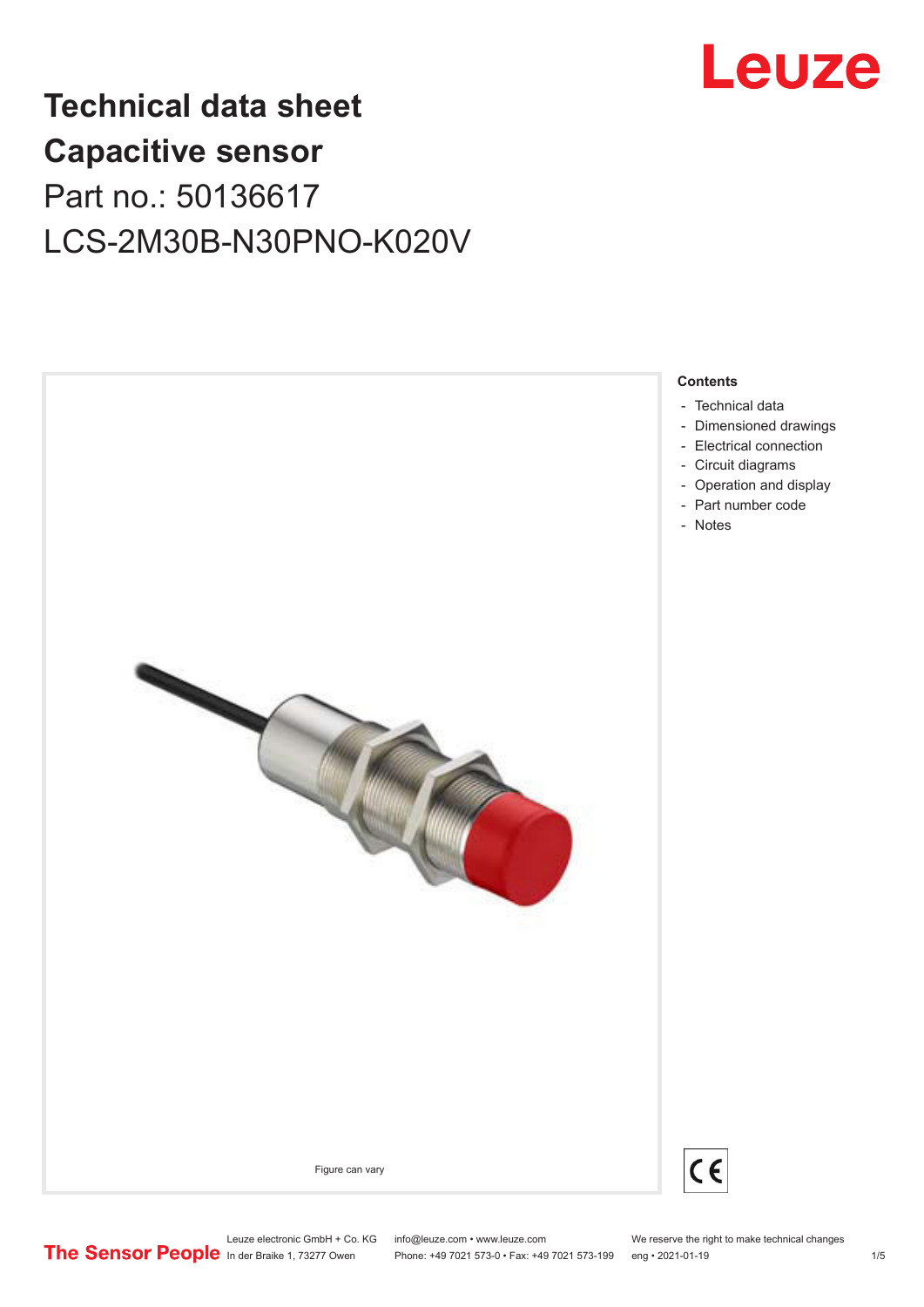

# **Technical data sheet Capacitive sensor** Part no.: 50136617 LCS-2M30B-N30PNO-K020V



- [Technical data](#page-1-0)
- [Dimensioned drawings](#page-2-0) - [Electrical connection](#page-2-0)
- [Circuit diagrams](#page-3-0)
- [Operation and display](#page-3-0)
- [Part number code](#page-3-0)
- [Notes](#page-4-0)



Leuze electronic GmbH + Co. KG info@leuze.com • www.leuze.com We reserve the right to make technical changes<br>
The Sensor People in der Braike 1, 73277 Owen Phone: +49 7021 573-0 • Fax: +49 7021 573-199 eng • 2021-01-19

Phone: +49 7021 573-0 • Fax: +49 7021 573-199 eng • 2021-01-19

 $c \epsilon$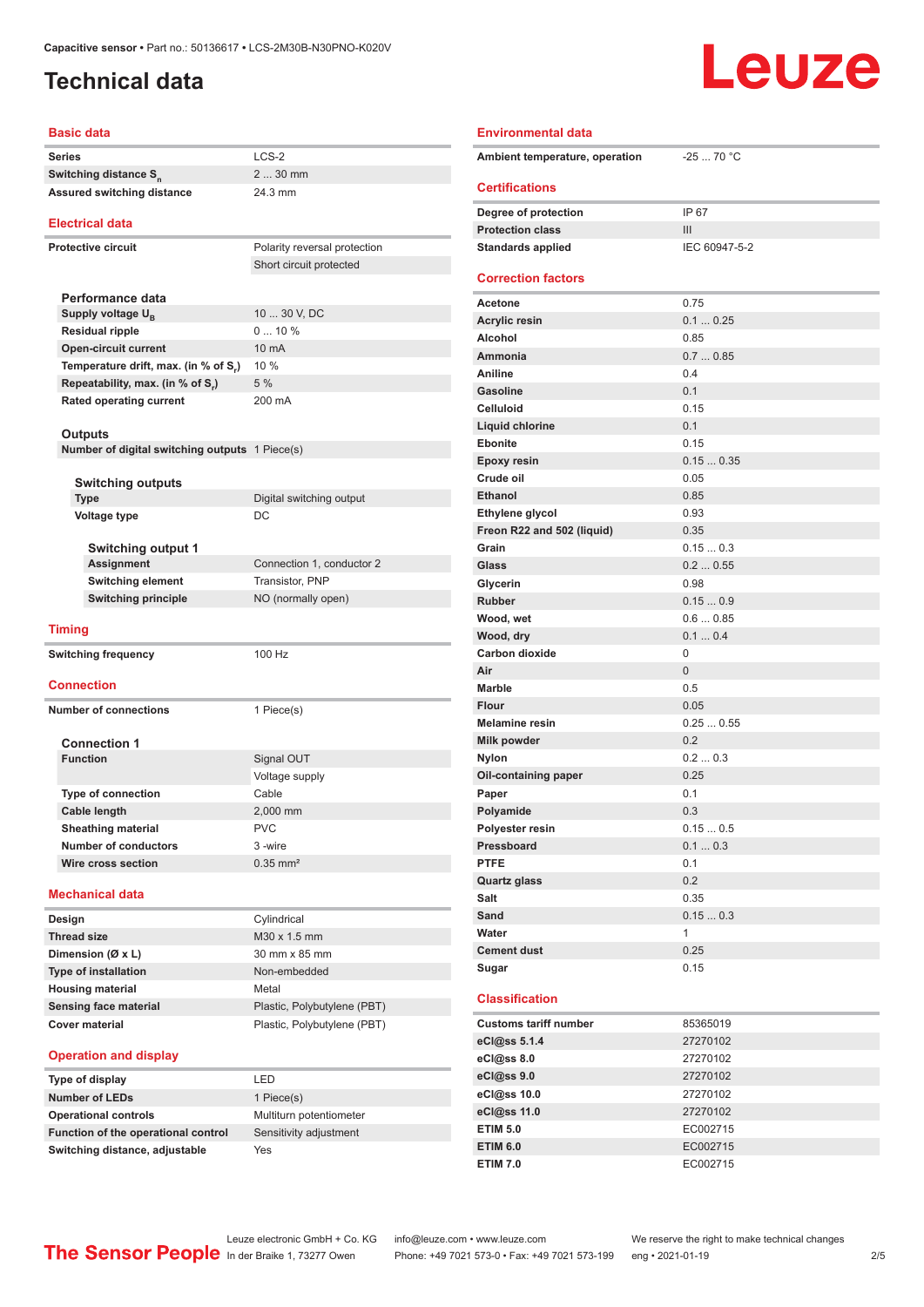## <span id="page-1-0"></span>**Technical data**

# Leuze

| <b>Basic data</b>                              |                              | <b>Environmental data</b>    |
|------------------------------------------------|------------------------------|------------------------------|
| <b>Series</b>                                  | LCS-2                        | Ambient temperature,         |
| Switching distance S <sub>n</sub>              | $230$ mm                     |                              |
| <b>Assured switching distance</b>              | 24.3 mm                      | <b>Certifications</b>        |
| <b>Electrical data</b>                         |                              | Degree of protection         |
|                                                |                              | <b>Protection class</b>      |
| <b>Protective circuit</b>                      | Polarity reversal protection | <b>Standards applied</b>     |
|                                                | Short circuit protected      | <b>Correction factors</b>    |
| Performance data                               |                              |                              |
| Supply voltage U <sub>B</sub>                  | 10  30 V, DC                 | Acetone                      |
| <b>Residual ripple</b>                         | 010%                         | <b>Acrylic resin</b>         |
| <b>Open-circuit current</b>                    | 10 mA                        | <b>Alcohol</b>               |
| Temperature drift, max. (in % of S,)           | 10 %                         | Ammonia                      |
| Repeatability, max. (in % of S.)               | 5%                           | Aniline                      |
| <b>Rated operating current</b>                 | 200 mA                       | <b>Gasoline</b>              |
|                                                |                              | <b>Celluloid</b>             |
| <b>Outputs</b>                                 |                              | Liquid chlorine<br>Ebonite   |
| Number of digital switching outputs 1 Piece(s) |                              | <b>Epoxy resin</b>           |
|                                                |                              | Crude oil                    |
| <b>Switching outputs</b>                       |                              | <b>Ethanol</b>               |
| <b>Type</b>                                    | Digital switching output     | Ethylene glycol              |
| Voltage type                                   | DC                           | Freon R22 and 502 (liq       |
| <b>Switching output 1</b>                      |                              | Grain                        |
| <b>Assignment</b>                              | Connection 1, conductor 2    | Glass                        |
| <b>Switching element</b>                       | Transistor, PNP              | Glycerin                     |
| <b>Switching principle</b>                     | NO (normally open)           | <b>Rubber</b>                |
|                                                |                              | Wood, wet                    |
| <b>Timing</b>                                  |                              | Wood, dry                    |
| <b>Switching frequency</b>                     | 100 Hz                       | <b>Carbon dioxide</b>        |
|                                                |                              | Air                          |
| <b>Connection</b>                              |                              | <b>Marble</b>                |
| <b>Number of connections</b>                   | 1 Piece(s)                   | Flour                        |
|                                                |                              | <b>Melamine resin</b>        |
| <b>Connection 1</b>                            |                              | Milk powder                  |
| <b>Function</b>                                | Signal OUT                   | <b>Nylon</b>                 |
|                                                | Voltage supply               | Oil-containing paper         |
| <b>Type of connection</b>                      | Cable                        | Paper                        |
| Cable length                                   | 2,000 mm                     | Polyamide                    |
| <b>Sheathing material</b>                      | <b>PVC</b>                   | Polyester resin              |
| <b>Number of conductors</b>                    | 3-wire                       | Pressboard                   |
| Wire cross section                             | $0.35$ mm <sup>2</sup>       | <b>PTFE</b>                  |
|                                                |                              | Quartz glass                 |
| <b>Mechanical data</b>                         |                              | Salt                         |
| Design                                         | Cylindrical                  | Sand                         |
| <b>Thread size</b>                             | M30 x 1.5 mm                 | Water                        |
| Dimension (Ø x L)                              | 30 mm x 85 mm                | <b>Cement dust</b>           |
| <b>Type of installation</b>                    | Non-embedded                 | Sugar                        |
| <b>Housing material</b>                        | Metal                        | <b>Classification</b>        |
| Sensing face material                          | Plastic, Polybutylene (PBT)  |                              |
| <b>Cover material</b>                          | Plastic, Polybutylene (PBT)  | <b>Customs tariff number</b> |
| <b>Operation and display</b>                   |                              | eCl@ss 5.1.4                 |
|                                                |                              | eCl@ss 8.0                   |
| Type of display                                | LED                          | eCl@ss 9.0                   |

### **Ambient temperature, operation** -25 ... 70 °C **Certifications Degree of protection** IP 67 **Protection class** III **Standards applied** IEC 60947-5-2 **Correction factors Acetone** 0.75 **Acrylic resin** 0.1 ... 0.25 **Alcohol** 0.85 **Ammonia** 0.7 ... 0.85 **Aniline** 0.4 **Gasoline** 0.1 **Celluloid** 0.15 **Liquid chlorine** 0.1 **Ebonite** 0.15 **Epoxy resin** 0.15 ... 0.35 **Crude oil** 0.05 **Ethanol** 0.85 **Ethylene glycol** 0.93 **Freon R22 and 502 (liquid)** 0.35 **Grain** 0.15 ... 0.3 **Glass** 0.2 ... 0.55 **Glycerin** 0.98 **Rubber** 0.15 ... 0.9 **Wood, wet** 0.6 ... 0.85 **Wood, dry** 0.1 ... 0.4 **Carbon dioxide** 0 **Air** 0 **Marble** 0.5 **Flour** 0.05 **Melamine resin** 0.25 ... 0.55 **Milk powder** 0.2 **Nylon** 0.2 ... 0.3 **Oil-containing paper** 0.25 **Paper** 0.1 **Polyamide** 0.3 **Polyester resin** 0.15 ... 0.5 **Pressboard** 0.1 ... 0.3 **PTFE** 0.1 **Quartz glass** 0.2 **Salt** 0.35 **Sand** 0.15 ... 0.3 **Water** 1 **Cement dust** 0.25 **Sugar** 0.15 **Classification Customs tariff number** 85365019 **eCl@ss 5.1.4** 27270102 **eCl@ss 8.0** 27270102 **eCl@ss 9.0** 27270102 **eCl@ss 10.0** 27270102 **eCl@ss 11.0** 27270102

**Number of LEDs** 1 Piece(s) **Operational controls** Multiturn potentiometer **Function of the operational control** Sensitivity adjustment **Switching distance, adjustable** Yes

Leuze electronic GmbH + Co. KG info@leuze.com • www.leuze.com We reserve the right to make technical changes<br>
The Sensor People in der Braike 1, 73277 Owen Phone: +49 7021 573-0 • Fax: +49 7021 573-199 eng • 2021-01-19

Phone: +49 7021 573-0 • Fax: +49 7021 573-199 eng • 2021-01-19 2/5

**ETIM 5.0** EC002715 **ETIM 6.0** EC002715 **ETIM 7.0** EC002715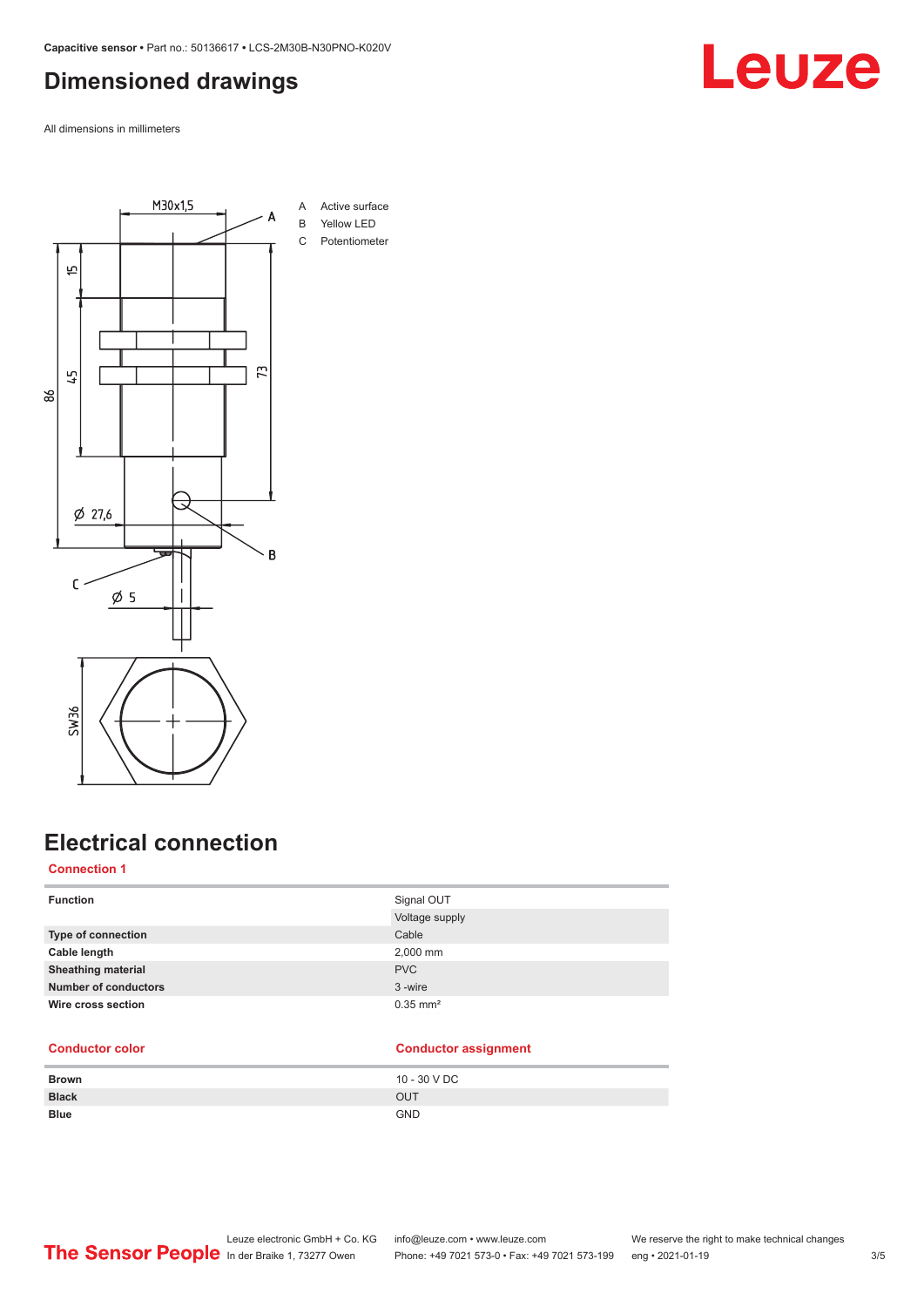### <span id="page-2-0"></span>**Dimensioned drawings**

All dimensions in millimeters



### **Electrical connection**

### **Connection 1**

| <b>Function</b>           | Signal OUT             |
|---------------------------|------------------------|
|                           | Voltage supply         |
| Type of connection        | Cable                  |
| Cable length              | 2,000 mm               |
| <b>Sheathing material</b> | <b>PVC</b>             |
| Number of conductors      | 3-wire                 |
| Wire cross section        | $0.35$ mm <sup>2</sup> |
|                           |                        |

### **Conductor color Conductor assignment**

| <b>Brown</b> | 10 - 30 V DC |
|--------------|--------------|
| <b>Black</b> | <b>OUT</b>   |
| <b>Blue</b>  | <b>GND</b>   |

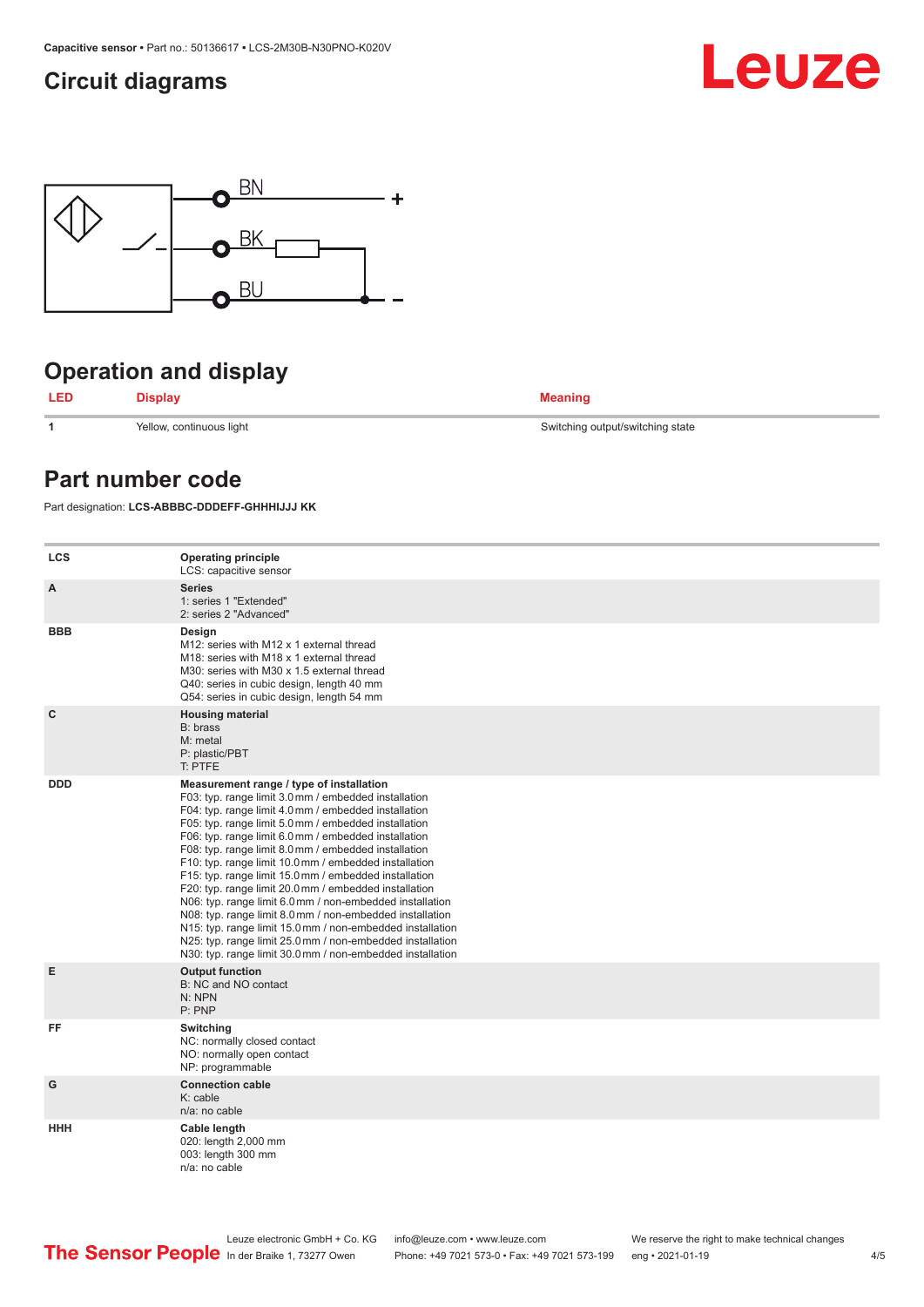### <span id="page-3-0"></span>**Circuit diagrams**





# **Operation and display**

**LED Display Meaning**

**1** Yellow, continuous light Switching output/switching state

### **Part number code**

Part designation: **LCS-ABBBC-DDDEFF-GHHHIJJJ KK**

| <b>LCS</b>  | <b>Operating principle</b><br>LCS: capacitive sensor                                                                                                                                                                                                                                                                                                                                                                                                                                                                                                                                                                                                                                                                                                                                                                       |
|-------------|----------------------------------------------------------------------------------------------------------------------------------------------------------------------------------------------------------------------------------------------------------------------------------------------------------------------------------------------------------------------------------------------------------------------------------------------------------------------------------------------------------------------------------------------------------------------------------------------------------------------------------------------------------------------------------------------------------------------------------------------------------------------------------------------------------------------------|
| A           | <b>Series</b><br>1: series 1 "Extended"<br>2: series 2 "Advanced"                                                                                                                                                                                                                                                                                                                                                                                                                                                                                                                                                                                                                                                                                                                                                          |
| <b>BBB</b>  | Design<br>M12: series with M12 x 1 external thread<br>M18: series with M18 x 1 external thread<br>M30: series with M30 x 1.5 external thread<br>Q40: series in cubic design, length 40 mm<br>Q54: series in cubic design, length 54 mm                                                                                                                                                                                                                                                                                                                                                                                                                                                                                                                                                                                     |
| $\mathbf c$ | <b>Housing material</b><br>B: brass<br>M: metal<br>P: plastic/PBT<br>T: PTFE                                                                                                                                                                                                                                                                                                                                                                                                                                                                                                                                                                                                                                                                                                                                               |
| <b>DDD</b>  | Measurement range / type of installation<br>F03: typ. range limit 3.0 mm / embedded installation<br>F04: typ. range limit 4.0 mm / embedded installation<br>F05: typ. range limit 5.0 mm / embedded installation<br>F06: typ. range limit 6.0 mm / embedded installation<br>F08: typ. range limit 8.0 mm / embedded installation<br>F10: typ. range limit 10.0 mm / embedded installation<br>F15: typ. range limit 15.0 mm / embedded installation<br>F20: typ. range limit 20.0 mm / embedded installation<br>N06: typ. range limit 6.0 mm / non-embedded installation<br>N08: typ. range limit 8.0 mm / non-embedded installation<br>N15: typ. range limit 15.0 mm / non-embedded installation<br>N25: typ. range limit 25.0 mm / non-embedded installation<br>N30: typ. range limit 30.0 mm / non-embedded installation |
| Е           | <b>Output function</b><br>B: NC and NO contact<br>N: NPN<br>P: PNP                                                                                                                                                                                                                                                                                                                                                                                                                                                                                                                                                                                                                                                                                                                                                         |
| <b>FF</b>   | Switching<br>NC: normally closed contact<br>NO: normally open contact<br>NP: programmable                                                                                                                                                                                                                                                                                                                                                                                                                                                                                                                                                                                                                                                                                                                                  |
| G           | <b>Connection cable</b><br>K: cable<br>n/a: no cable                                                                                                                                                                                                                                                                                                                                                                                                                                                                                                                                                                                                                                                                                                                                                                       |
| <b>HHH</b>  | Cable length<br>020: length 2,000 mm<br>003: length 300 mm<br>n/a: no cable                                                                                                                                                                                                                                                                                                                                                                                                                                                                                                                                                                                                                                                                                                                                                |